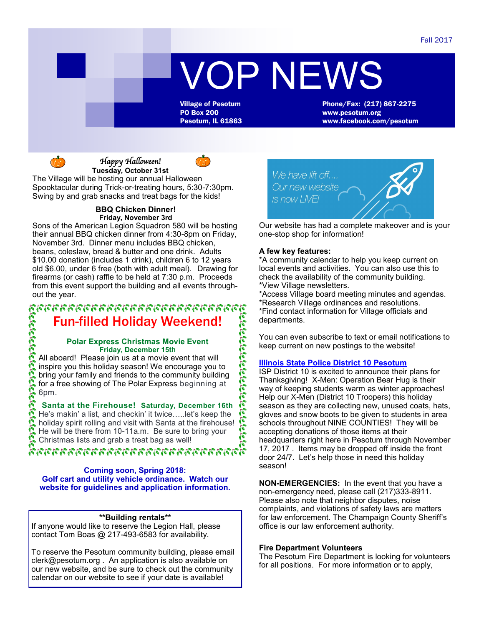# VOP NEWS

Village of Pesotum Phone/Fax: (217) 867-2275<br>PO Box 200 www.pesotum.org Pesotum, IL 61863 www.facebook.com/pesotum



*Happy Halloween!*  **Tuesday, October 31st**

The Village will be hosting our annual Halloween Spooktacular during Trick-or-treating hours, 5:30-7:30pm. Swing by and grab snacks and treat bags for the kids!

#### **BBQ Chicken Dinner! Friday, November 3rd**

Sons of the American Legion Squadron 580 will be hosting their annual BBQ chicken dinner from 4:30-8pm on Friday, November 3rd. Dinner menu includes BBQ chicken, beans, coleslaw, bread & butter and one drink. Adults \$10.00 donation (includes 1 drink), children 6 to 12 years old \$6.00, under 6 free (both with adult meal). Drawing for firearms (or cash) raffle to be held at 7:30 p.m. Proceeds from this event support the building and all events throughout the year.

## อาการกรรกรรกรรกรรมกรรมกรรมกรรม Fun-filled Holiday Weekend!

#### **Polar Express Christmas Movie Event Friday, December 15th**

All aboard! Please join us at a movie event that will inspire you this holiday season! We encourage you to bring your family and friends to the community building for a free showing of The Polar Express beginning at 6pm. **Fun-filled Holiday Weekend!**<br>
Polar Express Christmas Movie Event<br>
Fiday, December 15th<br>
All aboard! Please join us at a movie event that will<br>
inspire you this holiday season! We encourage you to<br>
bring your family and

**Santa at the Firehouse! Saturday, December 16th** He's makin' a list, and checkin' it twice…..let's keep the He will be there from 10-11a.m. Be sure to bring your Christmas lists and grab a treat bag as well!

## ห้ากรกรรกกรรกกรรกกรรกกรรกกรรก

**Coming soon, Spring 2018: Golf cart and utility vehicle ordinance. Watch our website for guidelines and application information.**

#### **\*\*Building rentals\*\***

If anyone would like to reserve the Legion Hall, please contact Tom Boas @ 217-493-6583 for availability.

To reserve the Pesotum community building, please email clerk@pesotum.org . An application is also available on our new website, and be sure to check out the community calendar on our website to see if your date is available!



Our website has had a complete makeover and is your one-stop shop for information!

#### **A few key features:**

\*A community calendar to help you keep current on local events and activities. You can also use this to check the availability of the community building. \*View Village newsletters.

\*Access Village board meeting minutes and agendas. \*Research Village ordinances and resolutions. \*Find contact information for Village officials and departments.

You can even subscribe to text or email notifications to keep current on new postings to the website!

## **[Illinois State Police District 10 Pesotum](https://www.facebook.com/ISPDistrict10/?hc_ref=ARSGsjXf3xt3cRyEOI4UWi_F_DdlHU7L-SfG9cWo7igpk_wN8xOloqSrJQzIQYxtga8&fref=nf)**

ISP District 10 is excited to announce their plans for Thanksgiving! X-Men: Operation Bear Hug is their way of keeping students warm as winter approaches! Help our X-Men (District 10 Troopers) this holiday season as they are collecting new, unused coats, hats, gloves and snow boots to be given to students in area schools throughout NINE COUNTIES! They will be accepting donations of those items at their headquarters right here in Pesotum through November 17, 2017 . Items may be dropped off inside the front door 24/7. Let's help those in need this holiday season!

**NON-EMERGENCIES:** In the event that you have a non-emergency need, please call (217)333-8911. Please also note that neighbor disputes, noise complaints, and violations of safety laws are matters for law enforcement. The Champaign County Sheriff's office is our law enforcement authority.

## **Fire Department Volunteers**

The Pesotum Fire Department is looking for volunteers for all positions. For more information or to apply,